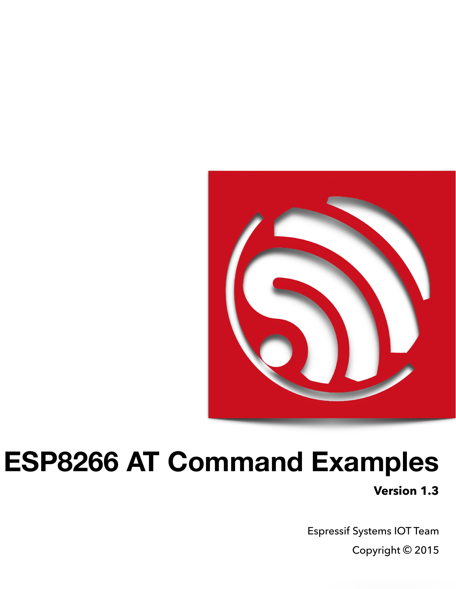

# **ESP8266 AT Command Examples**

**Version 1.3**

Espressif Systems IOT Team Copyright © 2015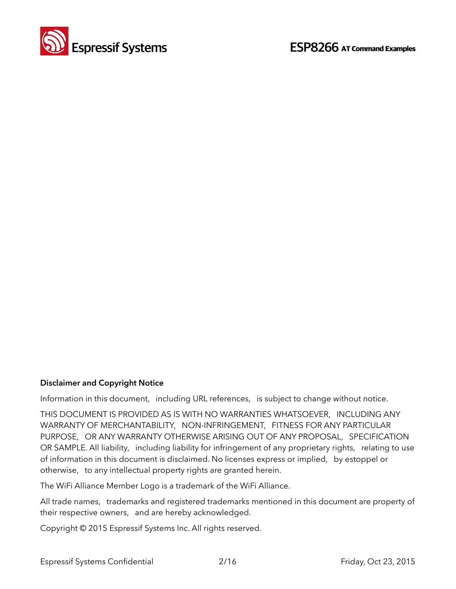

#### **Disclaimer and Copyright Notice**

Information in this document, including URL references, is subject to change without notice.

THIS DOCUMENT IS PROVIDED AS IS WITH NO WARRANTIES WHATSOEVER, INCLUDING ANY WARRANTY OF MERCHANTABILITY, NON-INFRINGEMENT, FITNESS FOR ANY PARTICULAR PURPOSE, OR ANY WARRANTY OTHERWISE ARISING OUT OF ANY PROPOSAL, SPECIFICATION OR SAMPLE. All liability, including liability for infringement of any proprietary rights, relating to use of information in this document is disclaimed. No licenses express or implied, by estoppel or otherwise, to any intellectual property rights are granted herein.

The WiFi Alliance Member Logo is a trademark of the WiFi Alliance.

All trade names, trademarks and registered trademarks mentioned in this document are property of their respective owners, and are hereby acknowledged.

Copyright © 2015 Espressif Systems Inc. All rights reserved.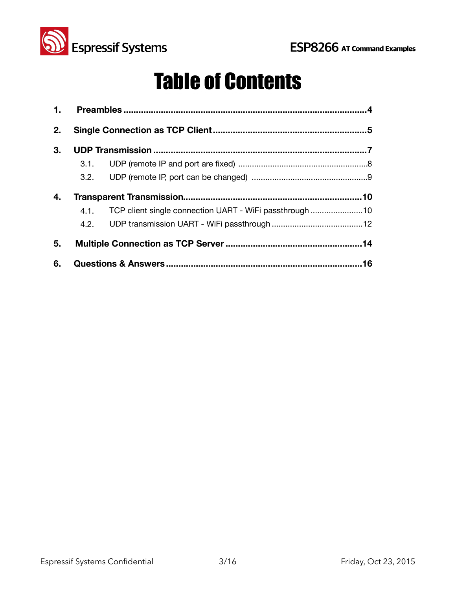

## Table of Contents

| 2. |                                                              |    |
|----|--------------------------------------------------------------|----|
| 3. |                                                              |    |
|    |                                                              |    |
|    |                                                              |    |
| 4. |                                                              |    |
|    | 4.1. TCP client single connection UART - WiFi passthrough 10 |    |
|    |                                                              |    |
| 5. |                                                              |    |
| 6. |                                                              | 16 |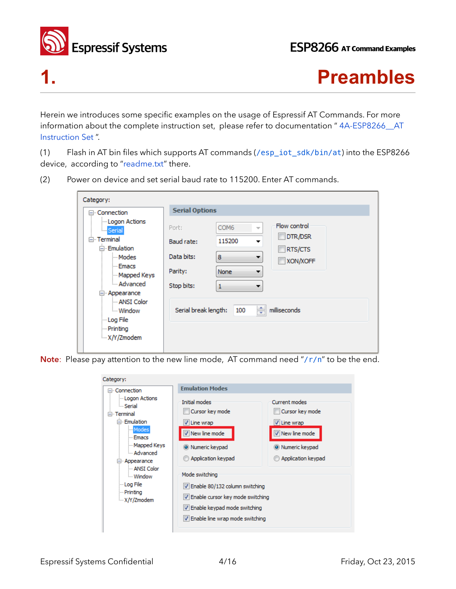

### **1. Preambles**

Herein we introduces some specific examples on the usage of Espressif AT Commands. For more information about the complete instruction set, please refer to documentation "4A-ESP8266\_AT Instruction Set ".

(1) Flash in AT bin files which supports AT commands (/esp\_iot\_sdk/bin/at) into the ESP8266 device, according to "readme.txt" there.

(2) Power on device and set serial baud rate to 115200. Enter AT commands.

| Category:                                                                                              |                       |                                              |              |
|--------------------------------------------------------------------------------------------------------|-----------------------|----------------------------------------------|--------------|
| ⊟- Connection                                                                                          | <b>Serial Options</b> |                                              |              |
| - Logon Actions<br><b>E</b> Serial                                                                     | Port:                 | COM <sub>6</sub><br>$\overline{\phantom{a}}$ | Flow control |
| <b>E</b> Terminal                                                                                      | Baud rate:            | 115200                                       | DTR/DSR      |
| ⊟ Emulation                                                                                            |                       |                                              | RTS/CTS      |
| i Modes                                                                                                | Data bits:            | 8                                            | XON/XOFF     |
| - Emacs<br>Mapped Keys                                                                                 | Parity:               | <b>None</b>                                  |              |
| Advanced                                                                                               | Stop bits:            | 1                                            |              |
| ⊟ <sub>"</sub> Appearance<br>- ANSI Color<br><b>Window</b><br>lim Log File<br>- Printing<br>X/Y/Zmodem | Serial break length:  | $\Rightarrow$<br>100                         | milliseconds |

Note: Please pay attention to the new line mode, AT command need "/r/n" to be the end.

| Category:                                                                                                                                                                                                            |                                                                                                                                                                                                                                                                                         |                                                                                                              |
|----------------------------------------------------------------------------------------------------------------------------------------------------------------------------------------------------------------------|-----------------------------------------------------------------------------------------------------------------------------------------------------------------------------------------------------------------------------------------------------------------------------------------|--------------------------------------------------------------------------------------------------------------|
| ⊟- Connection                                                                                                                                                                                                        | <b>Emulation Modes</b>                                                                                                                                                                                                                                                                  |                                                                                                              |
| - Logon Actions<br><b>Serial</b><br><b>E</b> Terminal<br>⊟ Emulation<br>Modes<br>- Emacs<br>Mapped Keys<br>- Advanced<br>⊟ Appearance<br>- ANSI Color<br><b>Window</b><br>lim Log File<br>- Printina<br>- X/Y/Zmodem | Initial modes<br>Cursor key mode<br>$\sqrt{}$ Line wrap<br>V New line mode<br>O Numeric keypad<br>Application keypad<br>Mode switching<br>V Enable 80/132 column switching<br>V Enable cursor key mode switching<br>V Enable keypad mode switching<br>V Enable line wrap mode switching | Current modes<br>Cursor key mode<br>V Line wrap<br>V New line mode<br>O Numeric keypad<br>Application keypad |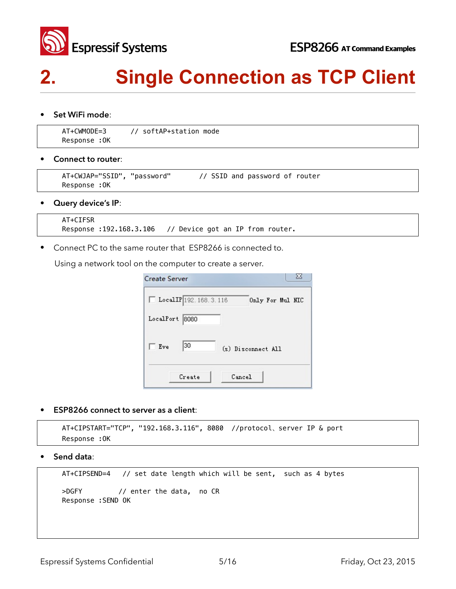

## **2. Single Connection as TCP Client**

• **Set WiFi mode**:

```
 AT+CWMODE=3 // softAP+station mode 
Response :OK
```
• **Connect to router**:

```
 AT+CWJAP="SSID", "password" // SSID and password of router 
 Response :OK
```
• **Query device's IP**:

```
 AT+CIFSR 
 Response :192.168.3.106 // Device got an IP from router.
```
• Connect PC to the same router that ESP8266 is connected to.

Using a network tool on the computer to create a server.

| LocalIP 192.168.3.116 | Only For Mul NIC   |
|-----------------------|--------------------|
| LocalPort 8080        |                    |
| 30<br>Eve             | (s) Disconnect All |
| Create                | Cancel             |

• **ESP8266 connect to server as a client**:

```
 AT+CIPSTART="TCP", "192.168.3.116", 8080 //protocol̵server IP & port 
 Response :OK
```
**• Send data**:

```
 AT+CIPSEND=4 // set date length which will be sent, such as 4 bytes
```

```
 >DGFY // enter the data, no CR 
 Response :SEND OK
```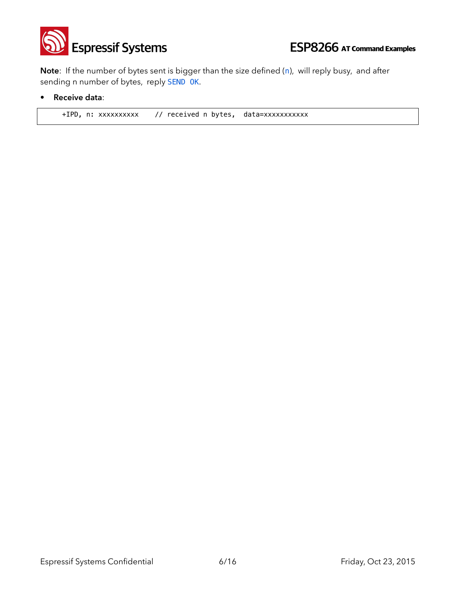

**Note**: If the number of bytes sent is bigger than the size defined (n), will reply busy, and after sending n number of bytes, reply SEND OK.

• **Receive data**:

+IPD, n: xxxxxxxxxx // received n bytes, data=xxxxxxxxxxx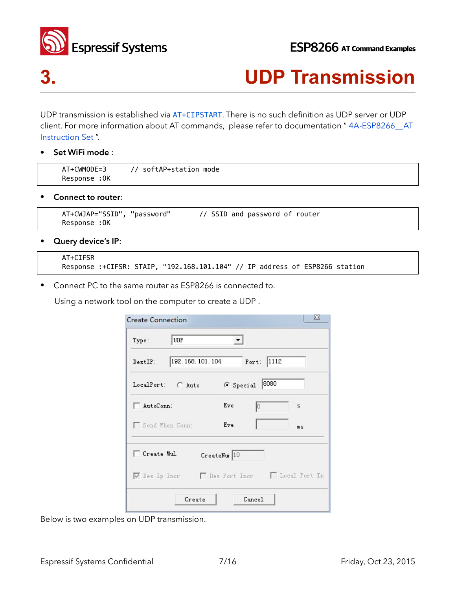

### **3. UDP Transmission**

UDP transmission is established via AT+CIPSTART. There is no such definition as UDP server or UDP client. For more information about AT commands, please refer to documentation " 4A-ESP8266\_\_AT Instruction Set ".

• **Set WiFi mode** :

| AT+CWMODE=3   | ' softAP+station mode |
|---------------|-----------------------|
| Response : OK |                       |

• **Connect to router**:

```
 AT+CWJAP="SSID", "password" // SSID and password of router 
 Response :OK
```
• **Query device's IP**:

```
 AT+CIFSR 
 Response :+CIFSR: STAIP, "192.168.101.104" // IP address of ESP8266 station
```
• Connect PC to the same router as ESP8266 is connected to.

Using a network tool on the computer to create a UDP .

| Port: 1112     |                                                                                  |
|----------------|----------------------------------------------------------------------------------|
| 6 Special 8080 |                                                                                  |
| Eve<br>ΙO      | s                                                                                |
| Eve            | ms                                                                               |
|                |                                                                                  |
|                |                                                                                  |
|                | 192.168.101.104<br>CreateNur 10<br>V Des Ip Incr   Des Port Incr   Local Port In |

Below is two examples on UDP transmission.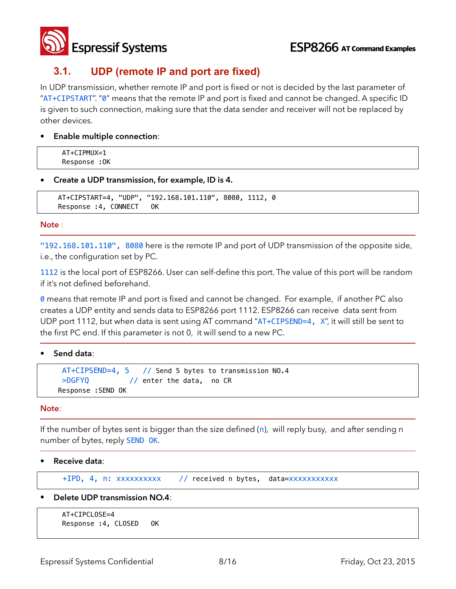

### **3.1. UDP (remote IP and port are fixed)**

In UDP transmission, whether remote IP and port is fixed or not is decided by the last parameter of "AT+CIPSTART". "0" means that the remote IP and port is fixed and cannot be changed. A specific ID is given to such connection, making sure that the data sender and receiver will not be replaced by other devices.

• **Enable multiple connection**:

AT+CIPMUX=1 Response :OK

**• Create a UDP transmission, for example, ID is 4.**

```
AT+CIPSTART=4, "UDP", "192.168.101.110", 8080, 1112, 0 
Response :4, CONNECT OK
```
#### **Note** :

"192.168.101.110", 8080 here is the remote IP and port of UDP transmission of the opposite side, i.e., the configuration set by PC.

1112 is the local port of ESP8266. User can self-define this port. The value of this port will be random if it's not defined beforehand.

**0** means that remote IP and port is fixed and cannot be changed. For example, if another PC also creates a UDP entity and sends data to ESP8266 port 1112. ESP8266 can receive data sent from UDP port 1112, but when data is sent using AT command "AT+CIPSEND=4, X", it will still be sent to the first PC end. If this parameter is not 0, it will send to a new PC.

• **Send data**:

```
AT+CIPSEND=4, 5 // Send 5 bytes to transmission NO.4 
>DGFYQ // enter the data, no CR 
Response :SEND OK
```
#### **Note**:

If the number of bytes sent is bigger than the size defined (n), will reply busy, and after sending n number of bytes, reply SEND OK.

• **Receive data**:

+IPD, 4, n: xxxxxxxxxx // received n bytes, data=xxxxxxxxxxx

• **Delete UDP transmission NO.4**:

```
 AT+CIPCLOSE=4 
 Response :4, CLOSED OK
```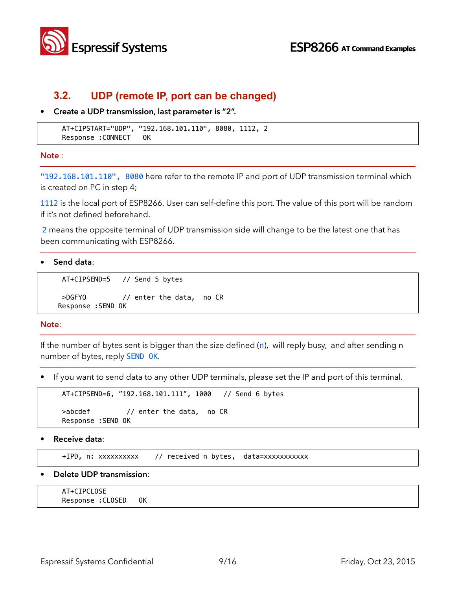

### **3.2. UDP (remote IP, port can be changed)**

**• Create a UDP transmission, last parameter is "2".**

```
AT+CIPSTART="UDP", "192.168.101.110", 8080, 1112, 2 
Response :CONNECT OK
```
**Note** :

"192.168.101.110", 8080 here refer to the remote IP and port of UDP transmission terminal which is created on PC in step 4;

1112 is the local port of ESP8266. User can self-define this port. The value of this port will be random if it's not defined beforehand.

2 means the opposite terminal of UDP transmission side will change to be the latest one that has been communicating with ESP8266.

• **Send data**:

```
AT+CIPSEND=5 // Send 5 bytes
```

```
>DGFYQ // enter the data, no CR 
Response :SEND OK
```
**Note**:

If the number of bytes sent is bigger than the size defined  $(n)$ , will reply busy, and after sending n number of bytes, reply SEND OK.

• If you want to send data to any other UDP terminals, please set the IP and port of this terminal.

```
AT+CIPSEND=6, "192.168.101.111", 1000 // Send 6 bytes 
>abcdef // enter the data, no CR 
Response :SEND OK
```
• **Receive data**:

+IPD, n: xxxxxxxxxx // received n bytes, data=xxxxxxxxxxx

• **Delete UDP transmission**:

```
 AT+CIPCLOSE 
Response :CLOSED OK
```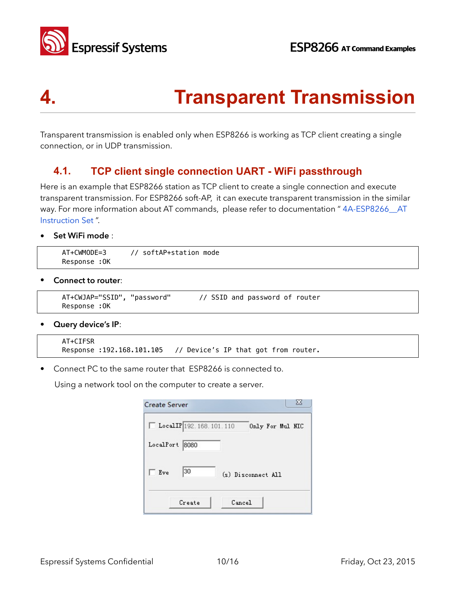



## **4. Transparent Transmission**

Transparent transmission is enabled only when ESP8266 is working as TCP client creating a single connection, or in UDP transmission.

### **4.1. TCP client single connection UART - WiFi passthrough**

Here is an example that ESP8266 station as TCP client to create a single connection and execute transparent transmission. For ESP8266 soft-AP, it can execute transparent transmission in the similar way. For more information about AT commands, please refer to documentation "4A-ESP8266 AT Instruction Set ".

• **Set WiFi mode** :

```
 AT+CWMODE=3 // softAP+station mode 
 Response :OK
```
• **Connect to router**:

```
 AT+CWJAP="SSID", "password" // SSID and password of router 
 Response :OK
```
• **Query device's IP**:

```
 AT+CIFSR 
Response : 192.168.101.105 // Device's IP that got from router.
```
• Connect PC to the same router that ESP8266 is connected to.

Using a network tool on the computer to create a server.

| Create Server  |                         |        | х                  |
|----------------|-------------------------|--------|--------------------|
|                | LocalIP 192.168.101.110 |        | Only For Mul NIC   |
| LocalPort 8080 |                         |        |                    |
| Eve            | 30                      |        | (s) Disconnect All |
|                | Create                  | Cancel |                    |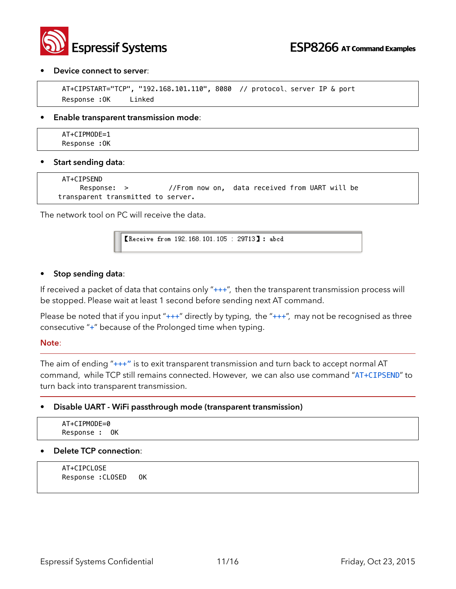

#### • **Device connect to server**:

```
AT+CIPSTART="TCP", "192.168.101.110", 8080 // protocol, server IP & port
 Response :OK Linked
```
#### • **Enable transparent transmission mode**:

AT+CIPMODE=1 Response :OK

#### • **Start sending data**:

```
 AT+CIPSEND 
     Response: > //From now on, data received from UART will be
transparent transmitted to server.
```
The network tool on PC will receive the data.

[Receive from 192.168.101.105 : 29713]: abcd

#### • **Stop sending data**:

If received a packet of data that contains only "+++", then the transparent transmission process will be stopped. Please wait at least 1 second before sending next AT command.

Please be noted that if you input " $++$ " directly by typing, the " $++$ ", may not be recognised as three consecutive "+" because of the Prolonged time when typing.

#### **Note**:

The aim of ending "+++" is to exit transparent transmission and turn back to accept normal AT command, while TCP still remains connected. However, we can also use command "AT+CIPSEND" to turn back into transparent transmission.

#### • **Disable UART - WiFi passthrough mode (transparent transmission)**

| $AT+CI$ PMODE=0 |  |  |  |
|-----------------|--|--|--|
| Response : OK   |  |  |  |

#### • **Delete TCP connection**:

AT+CIPCLOSE Response :CLOSED OK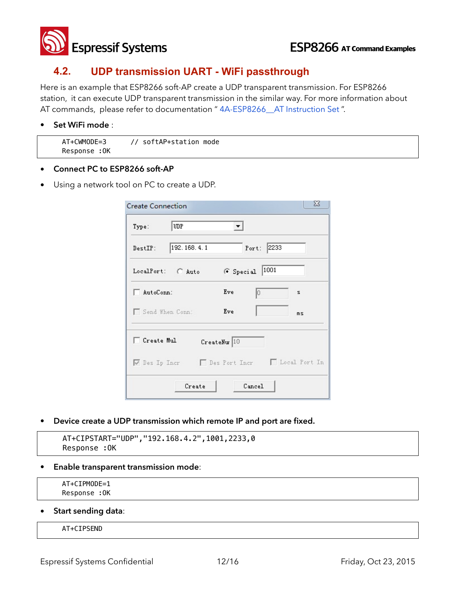

### **4.2. UDP transmission UART - WiFi passthrough**

Here is an example that ESP8266 soft-AP create a UDP transparent transmission. For ESP8266 station, it can execute UDP transparent transmission in the similar way. For more information about AT commands, please refer to documentation " 4A-ESP8266\_\_AT Instruction Set ".

#### • **Set WiFi mode** :

| AT+CWMODE=3  | // softAP+station mode |
|--------------|------------------------|
| Response :OK |                        |

- **• Connect PC to ESP8266 soft-AP**
- Using a network tool on PC to create a UDP.

| UDP<br>Type:                                  |              |            |    |
|-----------------------------------------------|--------------|------------|----|
| 192.168.4.1<br>DestIP:                        |              | Port: 2233 |    |
| LocalPort: C Auto                             | G Special    | 1001       |    |
| AutoConn:                                     | Eve          | lō         | s  |
| Send When Conn:                               | Eve          |            | ms |
| Create Mul                                    | CreateNur 10 |            |    |
| V Des Ip Incr   Des Port Incr   Local Port In |              |            |    |

• **Device create a UDP transmission which remote IP and port are fixed.**

```
AT+CIPSTART="UDP","192.168.4.2",1001,2233,0 
 Response :OK
```
• **Enable transparent transmission mode**:

```
AT+CIPMODE=1 
Response :OK
```
• **Start sending data**:

#### AT+CIPSEND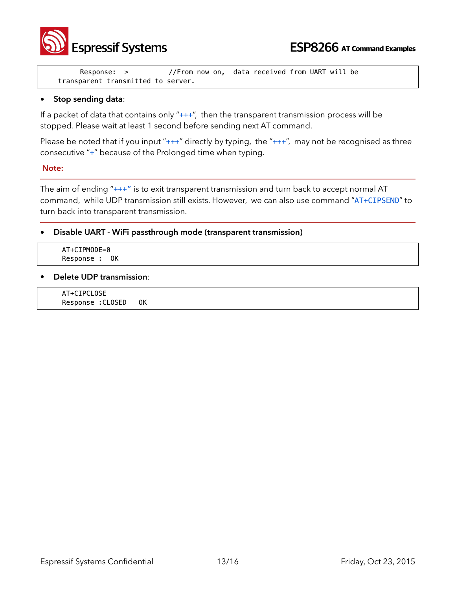

 Response: > //From now on, data received from UART will be transparent transmitted to server.

#### • **Stop sending data**:

If a packet of data that contains only " $++$ ", then the transparent transmission process will be stopped. Please wait at least 1 second before sending next AT command.

Please be noted that if you input " $++$ " directly by typing, the " $++$ ", may not be recognised as three consecutive "+" because of the Prolonged time when typing.

#### **Note:**

The aim of ending "+++" is to exit transparent transmission and turn back to accept normal AT command, while UDP transmission still exists. However, we can also use command "AT+CIPSEND" to turn back into transparent transmission.

• **Disable UART - WiFi passthrough mode (transparent transmission)**

 AT+CIPMODE=0 Response : OK

• **Delete UDP transmission**:

AT+CIPCLOSE Response :CLOSED OK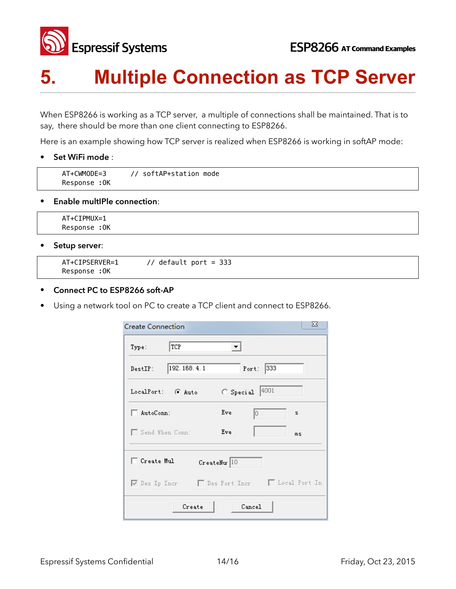

## **5. Multiple Connection as TCP Server**

When ESP8266 is working as a TCP server, a multiple of connections shall be maintained. That is to say, there should be more than one client connecting to ESP8266.

Here is an example showing how TCP server is realized when ESP8266 is working in softAP mode:

• **Set WiFi mode** :

| AT+CWMODE=3  | // softAP+station mode |
|--------------|------------------------|
| Response :OK |                        |

#### **• Enable multIPle connection**:

 AT+CIPMUX=1 Response :OK

• **Setup server**:

```
AT+CIPSERVER=1 // default port = 333 
Response :OK
```
#### **• Connect PC to ESP8266 soft-AP**

Using a network tool on PC to create a TCP client and connect to ESP8266.

| TCP<br>Type:                                  | ▾            |              |    |
|-----------------------------------------------|--------------|--------------|----|
| 192.168.4.1<br>DestIP:                        |              | 333<br>Port: |    |
| LocalPort: G Auto                             |              | Special 4001 |    |
| AutoConn:                                     | Eve          | Ю            | s  |
| Send When Conn:                               | Eve          |              | ms |
| □ Create Mul                                  | CreateNur 10 |              |    |
| V Des Ip Incr   Des Port Incr   Local Port In |              |              |    |
| Create                                        |              | Cancel       |    |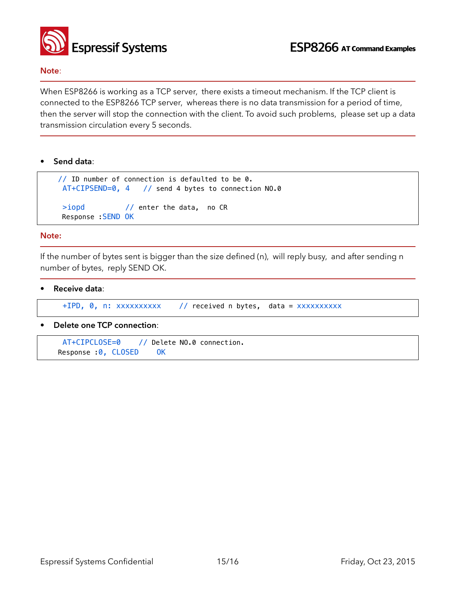

#### **Note**:

When ESP8266 is working as a TCP server, there exists a timeout mechanism. If the TCP client is connected to the ESP8266 TCP server, whereas there is no data transmission for a period of time, then the server will stop the connection with the client. To avoid such problems, please set up a data transmission circulation every 5 seconds.

• **Send data**:

```
// ID number of connection is defaulted to be 0. 
  AT+CIPSEND=0, 4 // send 4 bytes to connection NO.0 
 >iopd // enter the data, no CR
 Response :SEND OK
```
#### **Note:**

If the number of bytes sent is bigger than the size defined (n), will reply busy, and after sending n number of bytes, reply SEND OK.

• **Receive data**:

+IPD, 0, n: xxxxxxxxxx // received n bytes, data = xxxxxxxxxx

• **Delete one TCP connection**:

 AT+CIPCLOSE=0 // Delete NO.0 connection. Response :0, CLOSED OK